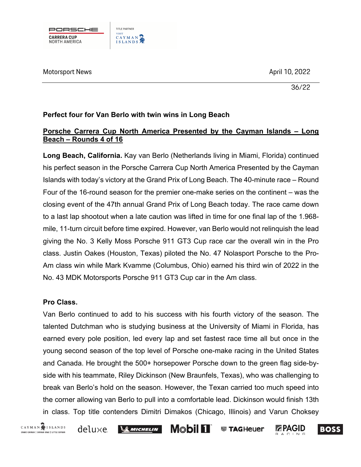

Motorsport News and the control of the control of the control of the control of the control of the control of the control of the control of the control of the control of the control of the control of the control of the con

36/22

## **Perfect four for Van Berlo with twin wins in Long Beach**

# **Porsche Carrera Cup North America Presented by the Cayman Islands – Long Beach – Rounds 4 of 16**

**Long Beach, California.** Kay van Berlo (Netherlands living in Miami, Florida) continued his perfect season in the Porsche Carrera Cup North America Presented by the Cayman Islands with today's victory at the Grand Prix of Long Beach. The 40-minute race – Round Four of the 16-round season for the premier one-make series on the continent – was the closing event of the 47th annual Grand Prix of Long Beach today. The race came down to a last lap shootout when a late caution was lifted in time for one final lap of the 1.968 mile, 11-turn circuit before time expired. However, van Berlo would not relinquish the lead giving the No. 3 Kelly Moss Porsche 911 GT3 Cup race car the overall win in the Pro class. Justin Oakes (Houston, Texas) piloted the No. 47 Nolasport Porsche to the Pro-Am class win while Mark Kvamme (Columbus, Ohio) earned his third win of 2022 in the No. 43 MDK Motorsports Porsche 911 GT3 Cup car in the Am class.

#### **Pro Class.**

Van Berlo continued to add to his success with his fourth victory of the season. The talented Dutchman who is studying business at the University of Miami in Florida, has earned every pole position, led every lap and set fastest race time all but once in the young second season of the top level of Porsche one-make racing in the United States and Canada. He brought the 500+ horsepower Porsche down to the green flag side-byside with his teammate, Riley Dickinson (New Braunfels, Texas), who was challenging to break van Berlo's hold on the season. However, the Texan carried too much speed into the corner allowing van Berlo to pull into a comfortable lead. Dickinson would finish 13th in class. Top title contenders Dimitri Dimakos (Chicago, Illinois) and Varun Choksey



deluxe

 $\frac{1}{2}$  Michelin

**Mobil 11 ● TAGHeuer** 

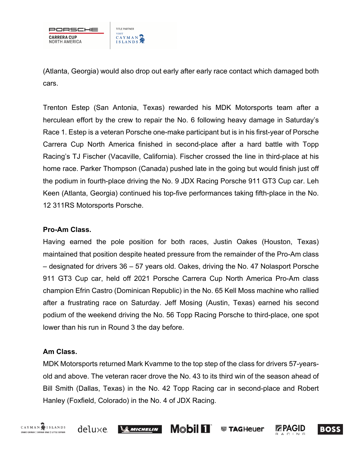

(Atlanta, Georgia) would also drop out early after early race contact which damaged both cars.

Trenton Estep (San Antonia, Texas) rewarded his MDK Motorsports team after a herculean effort by the crew to repair the No. 6 following heavy damage in Saturday's Race 1. Estep is a veteran Porsche one-make participant but is in his first-year of Porsche Carrera Cup North America finished in second-place after a hard battle with Topp Racing's TJ Fischer (Vacaville, California). Fischer crossed the line in third-place at his home race. Parker Thompson (Canada) pushed late in the going but would finish just off the podium in fourth-place driving the No. 9 JDX Racing Porsche 911 GT3 Cup car. Leh Keen (Atlanta, Georgia) continued his top-five performances taking fifth-place in the No. 12 311RS Motorsports Porsche.

## **Pro-Am Class.**

Having earned the pole position for both races, Justin Oakes (Houston, Texas) maintained that position despite heated pressure from the remainder of the Pro-Am class – designated for drivers 36 – 57 years old. Oakes, driving the No. 47 Nolasport Porsche 911 GT3 Cup car, held off 2021 Porsche Carrera Cup North America Pro-Am class champion Efrin Castro (Dominican Republic) in the No. 65 Kell Moss machine who rallied after a frustrating race on Saturday. Jeff Mosing (Austin, Texas) earned his second podium of the weekend driving the No. 56 Topp Racing Porsche to third-place, one spot lower than his run in Round 3 the day before.

# **Am Class.**

MDK Motorsports returned Mark Kvamme to the top step of the class for drivers 57-yearsold and above. The veteran racer drove the No. 43 to its third win of the season ahead of Bill Smith (Dallas, Texas) in the No. 42 Topp Racing car in second-place and Robert Hanley (Foxfield, Colorado) in the No. 4 of JDX Racing.

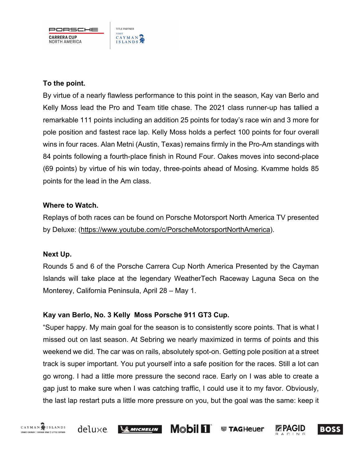PORSCHE **CARRERA CUP** NORTH AMERICA

TITLE PARTNER

CAYMAN

**VISIT** 

## **To the point.**

By virtue of a nearly flawless performance to this point in the season, Kay van Berlo and Kelly Moss lead the Pro and Team title chase. The 2021 class runner-up has tallied a remarkable 111 points including an addition 25 points for today's race win and 3 more for pole position and fastest race lap. Kelly Moss holds a perfect 100 points for four overall wins in four races. Alan Metni (Austin, Texas) remains firmly in the Pro-Am standings with 84 points following a fourth-place finish in Round Four. Oakes moves into second-place (69 points) by virtue of his win today, three-points ahead of Mosing. Kvamme holds 85 points for the lead in the Am class.

#### **Where to Watch.**

Replays of both races can be found on Porsche Motorsport North America TV presented by Deluxe: (https://www.youtube.com/c/PorscheMotorsportNorthAmerica).

#### **Next Up.**

Rounds 5 and 6 of the Porsche Carrera Cup North America Presented by the Cayman Islands will take place at the legendary WeatherTech Raceway Laguna Seca on the Monterey, California Peninsula, April 28 – May 1.

# **Kay van Berlo, No. 3 Kelly Moss Porsche 911 GT3 Cup.**

"Super happy. My main goal for the season is to consistently score points. That is what I missed out on last season. At Sebring we nearly maximized in terms of points and this weekend we did. The car was on rails, absolutely spot-on. Getting pole position at a street track is super important. You put yourself into a safe position for the races. Still a lot can go wrong. I had a little more pressure the second race. Early on I was able to create a gap just to make sure when I was catching traffic, I could use it to my favor. Obviously, the last lap restart puts a little more pressure on you, but the goal was the same: keep it

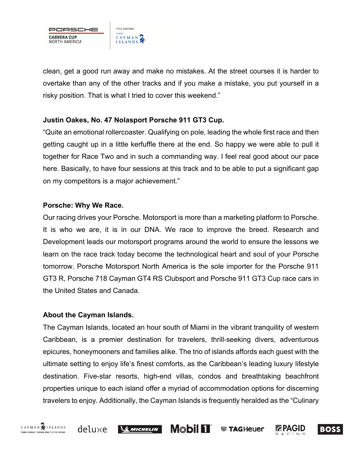

clean, get a good run away and make no mistakes. At the street courses it is harder to overtake than any of the other tracks and if you make a mistake, you put yourself in a risky position. That is what I tried to cover this weekend."

## **Justin Oakes, No. 47 Nolasport Porsche 911 GT3 Cup.**

"Quite an emotional rollercoaster. Qualifying on pole, leading the whole first race and then getting caught up in a little kerfuffle there at the end. So happy we were able to pull it together for Race Two and in such a commanding way. I feel real good about our pace here. Basically, to have four sessions at this track and to be able to put a significant gap on my competitors is a major achievement."

#### **Porsche: Why We Race.**

Our racing drives your Porsche. Motorsport is more than a marketing platform to Porsche. It is who we are, it is in our DNA. We race to improve the breed. Research and Development leads our motorsport programs around the world to ensure the lessons we learn on the race track today become the technological heart and soul of your Porsche tomorrow. Porsche Motorsport North America is the sole importer for the Porsche 911 GT3 R, Porsche 718 Cayman GT4 RS Clubsport and Porsche 911 GT3 Cup race cars in the United States and Canada.

#### **About the Cayman Islands.**

The Cayman Islands, located an hour south of Miami in the vibrant tranquility of western Caribbean, is a premier destination for travelers, thrill-seeking divers, adventurous epicures, honeymooners and families alike. The trio of islands affords each guest with the ultimate setting to enjoy life's finest comforts, as the Caribbean's leading luxury lifestyle destination. Five-star resorts, high-end villas, condos and breathtaking beachfront properties unique to each island offer a myriad of accommodation options for discerning travelers to enjoy. Additionally, the Cayman Islands is frequently heralded as the "Culinary

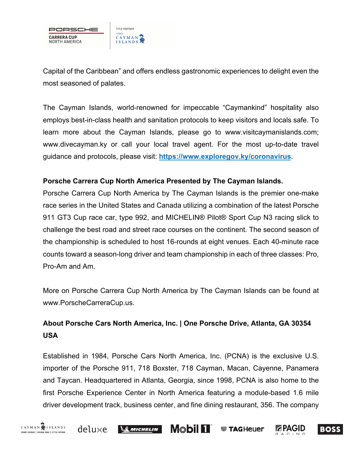

Capital of the Caribbean" and offers endless gastronomic experiences to delight even the most seasoned of palates.

The Cayman Islands, world-renowned for impeccable "Caymankind" hospitality also employs best-in-class health and sanitation protocols to keep visitors and locals safe. To learn more about the Cayman Islands, please go to www.visitcaymanislands.com; www.divecayman.ky or call your local travel agent. For the most up-to-date travel guidance and protocols, please visit: **https://www.exploregov.ky/coronavirus**.

#### **Porsche Carrera Cup North America Presented by The Cayman Islands.**

Porsche Carrera Cup North America by The Cayman Islands is the premier one-make race series in the United States and Canada utilizing a combination of the latest Porsche 911 GT3 Cup race car, type 992, and MICHELIN® Pilot® Sport Cup N3 racing slick to challenge the best road and street race courses on the continent. The second season of the championship is scheduled to host 16-rounds at eight venues. Each 40-minute race counts toward a season-long driver and team championship in each of three classes: Pro, Pro-Am and Am.

More on Porsche Carrera Cup North America by The Cayman Islands can be found at www.PorscheCarreraCup.us.

# **About Porsche Cars North America, Inc. | One Porsche Drive, Atlanta, GA 30354 USA**

Established in 1984, Porsche Cars North America, Inc. (PCNA) is the exclusive U.S. importer of the Porsche 911, 718 Boxster, 718 Cayman, Macan, Cayenne, Panamera and Taycan. Headquartered in Atlanta, Georgia, since 1998, PCNA is also home to the first Porsche Experience Center in North America featuring a module-based 1.6 mile driver development track, business center, and fine dining restaurant, 356. The company